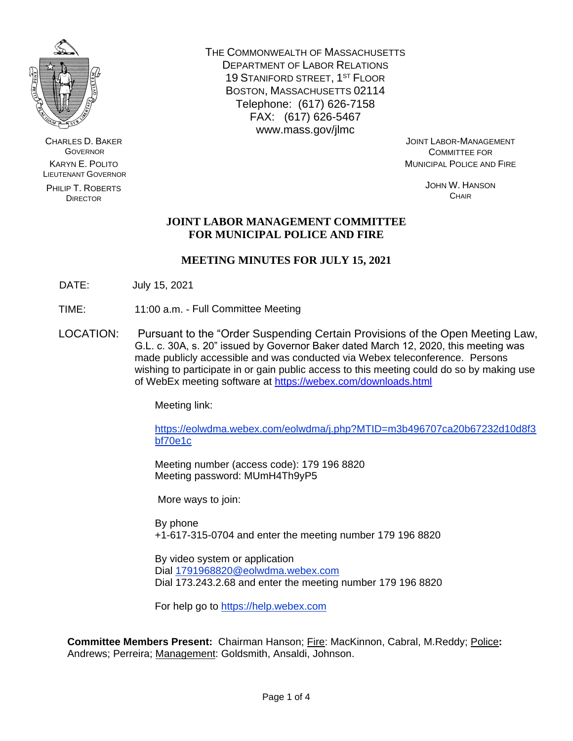

CHARLES D. BAKER **GOVERNOR** KARYN E. POLITO LIEUTENANT GOVERNOR

PHILIP T. ROBERTS DIRECTOR

THE COMMONWEALTH OF MASSACHUSETTS DEPARTMENT OF LABOR RELATIONS 19 STANIFORD STREET, 1ST FLOOR BOSTON, MASSACHUSETTS 02114 Telephone: (617) 626-7158 FAX: (617) 626-5467 www.mass.gov/jlmc

JOINT LABOR-MANAGEMENT COMMITTEE FOR MUNICIPAL POLICE AND FIRE

> JOHN W. HANSON **CHAIR**

# **JOINT LABOR MANAGEMENT COMMITTEE FOR MUNICIPAL POLICE AND FIRE**

# **MEETING MINUTES FOR JULY 15, 2021**

- DATE: July 15, 2021
- TIME: 11:00 a.m. Full Committee Meeting
- LOCATION: Pursuant to the "Order Suspending Certain Provisions of the Open Meeting Law, G.L. c. 30A, s. 20" issued by Governor Baker dated March 12, 2020, this meeting was made publicly accessible and was conducted via Webex teleconference. Persons wishing to participate in or gain public access to this meeting could do so by making use of WebEx meeting software at<https://webex.com/downloads.html>

Meeting link:

[https://eolwdma.webex.com/eolwdma/j.php?MTID=m3b496707ca20b67232d10d8f3](https://eolwdma.webex.com/eolwdma/j.php?MTID=m3b496707ca20b67232d10d8f3bf70e1c) [bf70e1c](https://eolwdma.webex.com/eolwdma/j.php?MTID=m3b496707ca20b67232d10d8f3bf70e1c)

Meeting number (access code): 179 196 8820 Meeting password: MUmH4Th9yP5

More ways to join:

By phone +1-617-315-0704 and enter the meeting number 179 196 8820

By video system or application Dial [1791968820@eolwdma.webex.com](mailto:1791968820@eolwdma.webex.com) Dial 173.243.2.68 and enter the meeting number 179 196 8820

For help go to [https://help.webex.com](https://help.webex.com/)

**Committee Members Present:** Chairman Hanson; Fire: MacKinnon, Cabral, M.Reddy; Police: Andrews; Perreira; Management: Goldsmith, Ansaldi, Johnson.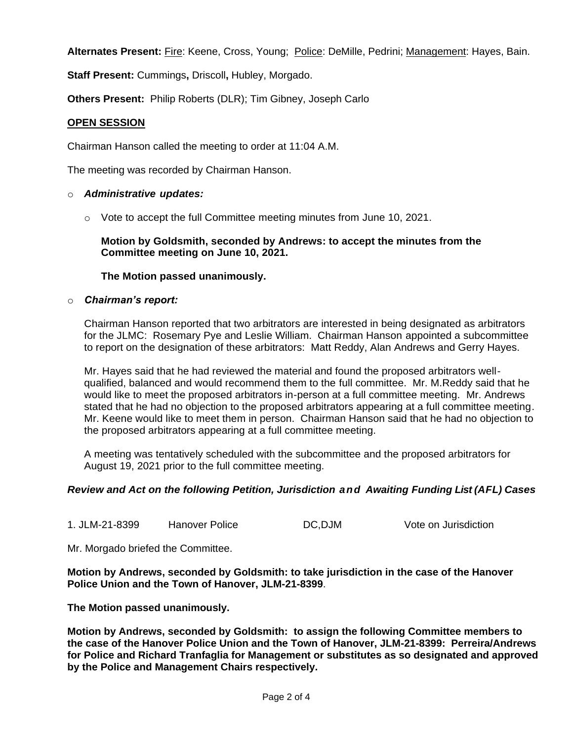**Alternates Present:** Fire: Keene, Cross, Young; Police: DeMille, Pedrini; Management: Hayes, Bain.

**Staff Present:** Cummings**,** Driscoll**,** Hubley, Morgado.

**Others Present:** Philip Roberts (DLR); Tim Gibney, Joseph Carlo

## **OPEN SESSION**

Chairman Hanson called the meeting to order at 11:04 A.M.

The meeting was recorded by Chairman Hanson.

#### o *Administrative updates:*

o Vote to accept the full Committee meeting minutes from June 10, 2021.

**Motion by Goldsmith, seconded by Andrews: to accept the minutes from the Committee meeting on June 10, 2021.**

#### **The Motion passed unanimously.**

#### o *Chairman's report:*

Chairman Hanson reported that two arbitrators are interested in being designated as arbitrators for the JLMC: Rosemary Pye and Leslie William. Chairman Hanson appointed a subcommittee to report on the designation of these arbitrators: Matt Reddy, Alan Andrews and Gerry Hayes.

Mr. Hayes said that he had reviewed the material and found the proposed arbitrators wellqualified, balanced and would recommend them to the full committee. Mr. M.Reddy said that he would like to meet the proposed arbitrators in-person at a full committee meeting. Mr. Andrews stated that he had no objection to the proposed arbitrators appearing at a full committee meeting. Mr. Keene would like to meet them in person. Chairman Hanson said that he had no objection to the proposed arbitrators appearing at a full committee meeting.

A meeting was tentatively scheduled with the subcommittee and the proposed arbitrators for August 19, 2021 prior to the full committee meeting.

## *Review and Act on the following Petition, Jurisdiction and Awaiting Funding List (AFL) Cases*

1. JLM-21-8399 Hanover Police DC,DJM Vote on Jurisdiction

Mr. Morgado briefed the Committee.

**Motion by Andrews, seconded by Goldsmith: to take jurisdiction in the case of the Hanover Police Union and the Town of Hanover, JLM-21-8399**.

**The Motion passed unanimously.**

**Motion by Andrews, seconded by Goldsmith: to assign the following Committee members to the case of the Hanover Police Union and the Town of Hanover, JLM-21-8399: Perreira/Andrews for Police and Richard Tranfaglia for Management or substitutes as so designated and approved by the Police and Management Chairs respectively.**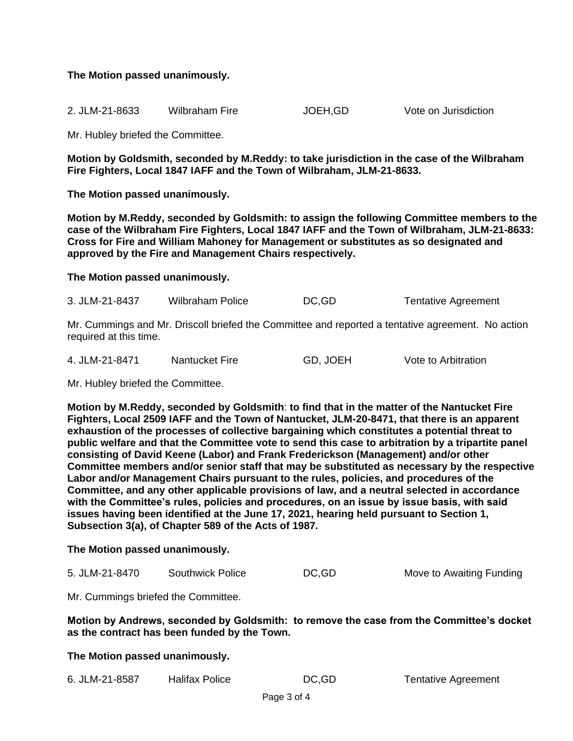### **The Motion passed unanimously.**

| 2. JLM-21-8633 | <b>Wilbraham Fire</b> |
|----------------|-----------------------|
|----------------|-----------------------|

JOEH.GD Vote on Jurisdiction

Mr. Hubley briefed the Committee.

**Motion by Goldsmith, seconded by M.Reddy: to take jurisdiction in the case of the Wilbraham Fire Fighters, Local 1847 IAFF and the Town of Wilbraham, JLM-21-8633.**

**The Motion passed unanimously.**

**Motion by M.Reddy, seconded by Goldsmith: to assign the following Committee members to the case of the Wilbraham Fire Fighters, Local 1847 IAFF and the Town of Wilbraham, JLM-21-8633: Cross for Fire and William Mahoney for Management or substitutes as so designated and approved by the Fire and Management Chairs respectively.**

**The Motion passed unanimously.**

3. JLM-21-8437 Wilbraham Police DC,GD Tentative Agreement

Mr. Cummings and Mr. Driscoll briefed the Committee and reported a tentative agreement. No action required at this time.

| 4. JLM-21-8471 | Nantucket Fire | GD, JOEH | Vote to Arbitration |
|----------------|----------------|----------|---------------------|
|----------------|----------------|----------|---------------------|

Mr. Hubley briefed the Committee.

**Motion by M.Reddy, seconded by Goldsmith**: **to find that in the matter of the Nantucket Fire Fighters, Local 2509 IAFF and the Town of Nantucket, JLM-20-8471, that there is an apparent exhaustion of the processes of collective bargaining which constitutes a potential threat to public welfare and that the Committee vote to send this case to arbitration by a tripartite panel consisting of David Keene (Labor) and Frank Frederickson (Management) and/or other Committee members and/or senior staff that may be substituted as necessary by the respective Labor and/or Management Chairs pursuant to the rules, policies, and procedures of the Committee, and any other applicable provisions of law, and a neutral selected in accordance with the Committee's rules, policies and procedures, on an issue by issue basis, with said issues having been identified at the June 17, 2021, hearing held pursuant to Section 1, Subsection 3(a), of Chapter 589 of the Acts of 1987.**

#### **The Motion passed unanimously.**

5. JLM-21-8470 Southwick Police DC,GD Move to Awaiting Funding

Mr. Cummings briefed the Committee.

**Motion by Andrews, seconded by Goldsmith: to remove the case from the Committee's docket as the contract has been funded by the Town.**

**The Motion passed unanimously.**

| 6. JLM-21-8587 | <b>Halifax Police</b> |  |
|----------------|-----------------------|--|
|                |                       |  |

DC,GD Tentative Agreement